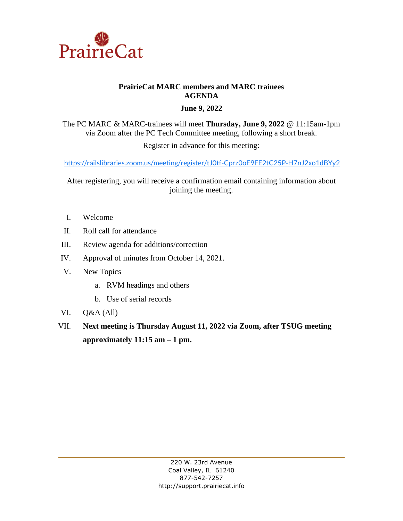

# **PrairieCat MARC members and MARC trainees AGENDA**

## **June 9, 2022**

The PC MARC & MARC-trainees will meet **Thursday, June 9, 2022** @ 11:15am-1pm via Zoom after the PC Tech Committee meeting, following a short break.

Register in advance for this meeting:

<https://railslibraries.zoom.us/meeting/register/tJ0tf-Cprz0oE9FE2tC25P-H7nJ2xo1dBYy2>

After registering, you will receive a confirmation email containing information about joining the meeting.

- I. Welcome
- II. Roll call for attendance
- III. Review agenda for additions/correction
- IV. Approval of minutes from October 14, 2021.
- V. New Topics
	- a. RVM headings and others
	- b. Use of serial records
- VI. Q&A (All)
- VII. **Next meeting is Thursday August 11, 2022 via Zoom, after TSUG meeting approximately 11:15 am – 1 pm.**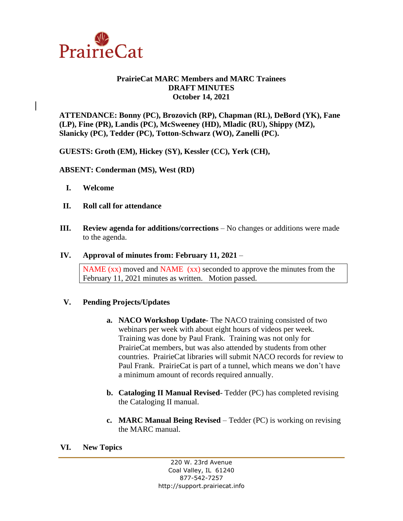

## **PrairieCat MARC Members and MARC Trainees DRAFT MINUTES October 14, 2021**

**ATTENDANCE: Bonny (PC), Brozovich (RP), Chapman (RL), DeBord (YK), Fane (LP), Fine (PR), Landis (PC), McSweeney (HD), Mladic (RU), Shippy (MZ), Slanicky (PC), Tedder (PC), Totton-Schwarz (WO), Zanelli (PC).**

**GUESTS: Groth (EM), Hickey (SY), Kessler (CC), Yerk (CH),** 

**ABSENT: Conderman (MS), West (RD)**

- **I. Welcome**
- **II. Roll call for attendance**
- **III. Review agenda for additions/corrections** No changes or additions were made to the agenda.

## **IV. Approval of minutes from: February 11, 2021** –

NAME (xx) moved and NAME (xx) seconded to approve the minutes from the February 11, 2021 minutes as written. Motion passed.

## **V. Pending Projects/Updates**

- **a. NACO Workshop Update** The NACO training consisted of two webinars per week with about eight hours of videos per week. Training was done by Paul Frank. Training was not only for PrairieCat members, but was also attended by students from other countries. PrairieCat libraries will submit NACO records for review to Paul Frank. PrairieCat is part of a tunnel, which means we don't have a minimum amount of records required annually.
- **b. Cataloging II Manual Revised** Tedder (PC) has completed revising the Cataloging II manual.
- **c. MARC Manual Being Revised** Tedder (PC) is working on revising the MARC manual.

**VI. New Topics**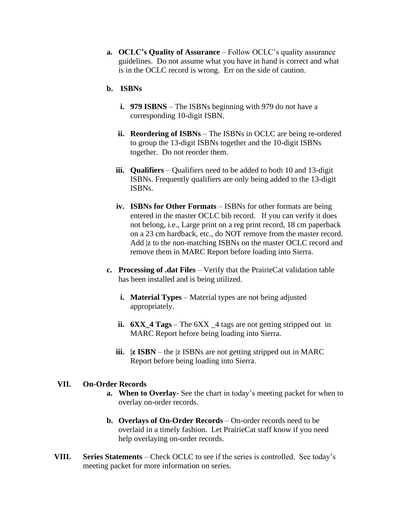**a. OCLC's Quality of Assurance** – Follow OCLC's quality assurance guidelines. Do not assume what you have in hand is correct and what is in the OCLC record is wrong. Err on the side of caution.

#### **b. ISBNs**

- **i. 979 ISBNS** The ISBNs beginning with 979 do not have a corresponding 10-digit ISBN.
- **ii. Reordering of ISBNs** The ISBNs in OCLC are being re-ordered to group the 13-digit ISBNs together and the 10-digit ISBNs together. Do not reorder them.
- **iii. Qualifiers** Qualifiers need to be added to both 10 and 13-digit ISBNs. Frequently qualifiers are only being added to the 13-digit ISBNs.
- **iv. ISBNs for Other Formats** ISBNs for other formats are being entered in the master OCLC bib record. If you can verify it does not belong, i.e., Large print on a reg print record, 18 cm paperback on a 23 cm hardback, etc., do NOT remove from the master record. Add |z to the non-matching ISBNs on the master OCLC record and remove them in MARC Report before loading into Sierra.
- **c. Processing of .dat Files** Verify that the PrairieCat validation table has been installed and is being utilized.
	- **i. Material Types** Material types are not being adjusted appropriately.
	- **ii. 6XX\_4 Tags**  The 6XX \_4 tags are not getting stripped out in MARC Report before being loading into Sierra.
	- **iii. |z ISBN** the |z ISBNs are not getting stripped out in MARC Report before being loading into Sierra.

#### **VII. On-Order Records**

- **a. When to Overlay** See the chart in today's meeting packet for when to overlay on-order records.
- **b. Overlays of On-Order Records** On-order records need to be overlaid in a timely fashion. Let PrairieCat staff know if you need help overlaying on-order records.
- **VIII. Series Statements**  Check OCLC to see if the series is controlled. See today's meeting packet for more information on series.